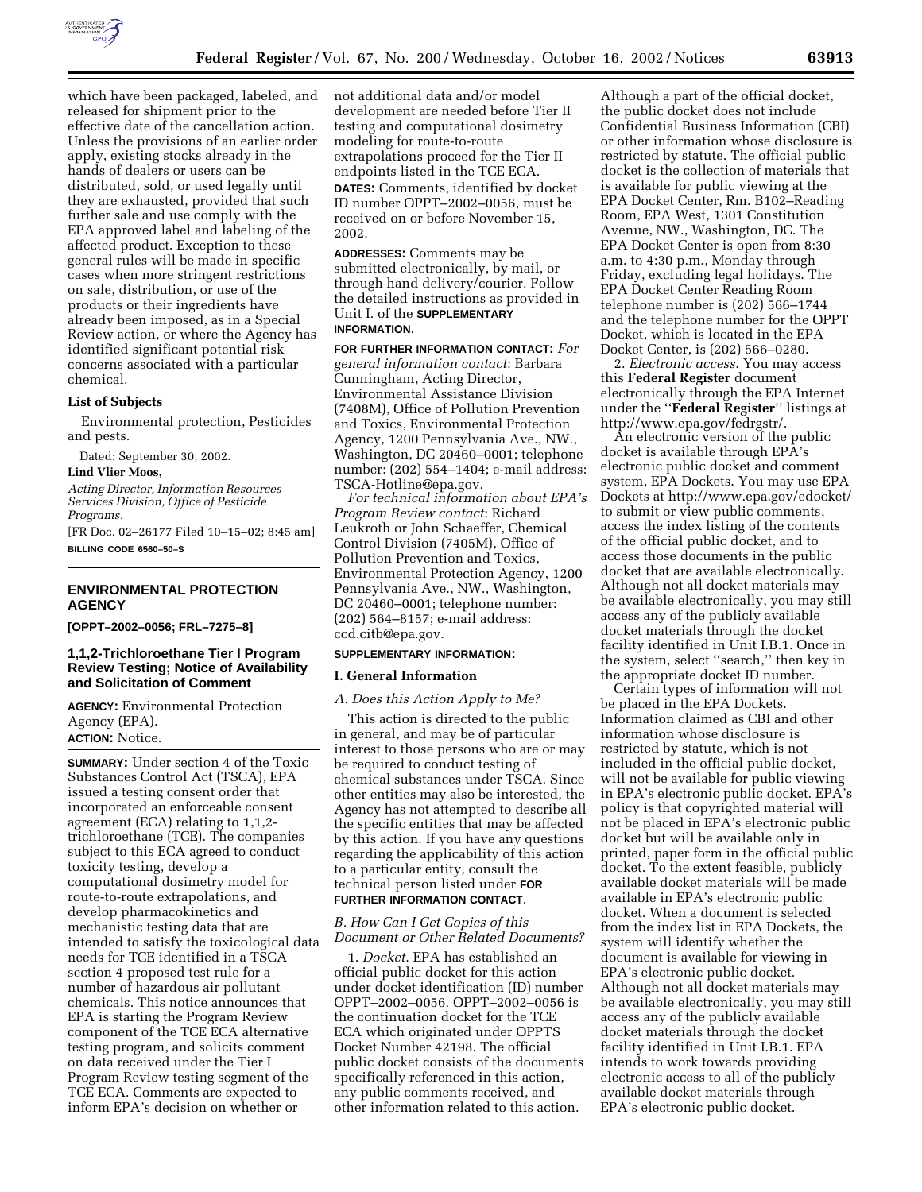

which have been packaged, labeled, and released for shipment prior to the effective date of the cancellation action. Unless the provisions of an earlier order apply, existing stocks already in the hands of dealers or users can be distributed, sold, or used legally until they are exhausted, provided that such further sale and use comply with the EPA approved label and labeling of the affected product. Exception to these general rules will be made in specific cases when more stringent restrictions on sale, distribution, or use of the products or their ingredients have already been imposed, as in a Special Review action, or where the Agency has identified significant potential risk concerns associated with a particular chemical.

# **List of Subjects**

Environmental protection, Pesticides and pests.

Dated: September 30, 2002.

# **Lind Vlier Moos,**

*Acting Director, Information Resources Services Division, Office of Pesticide Programs.*

[FR Doc. 02–26177 Filed 10–15–02; 8:45 am] **BILLING CODE 6560–50–S**

# **ENVIRONMENTAL PROTECTION AGENCY**

**[OPPT–2002–0056; FRL–7275–8]** 

# **1,1,2-Trichloroethane Tier I Program Review Testing; Notice of Availability and Solicitation of Comment**

**AGENCY:** Environmental Protection Agency (EPA). **ACTION:** Notice.

**SUMMARY:** Under section 4 of the Toxic Substances Control Act (TSCA), EPA issued a testing consent order that incorporated an enforceable consent agreement (ECA) relating to 1,1,2 trichloroethane (TCE). The companies subject to this ECA agreed to conduct toxicity testing, develop a computational dosimetry model for route-to-route extrapolations, and develop pharmacokinetics and mechanistic testing data that are intended to satisfy the toxicological data needs for TCE identified in a TSCA section 4 proposed test rule for a number of hazardous air pollutant chemicals. This notice announces that EPA is starting the Program Review component of the TCE ECA alternative testing program, and solicits comment on data received under the Tier I Program Review testing segment of the TCE ECA. Comments are expected to inform EPA's decision on whether or

not additional data and/or model development are needed before Tier II testing and computational dosimetry modeling for route-to-route extrapolations proceed for the Tier II endpoints listed in the TCE ECA. **DATES:** Comments, identified by docket ID number OPPT–2002–0056, must be received on or before November 15, 2002.

**ADDRESSES:** Comments may be submitted electronically, by mail, or through hand delivery/courier. Follow the detailed instructions as provided in Unit I. of the **SUPPLEMENTARY INFORMATION**.

**FOR FURTHER INFORMATION CONTACT:** *For general information contact*: Barbara Cunningham, Acting Director, Environmental Assistance Division (7408M), Office of Pollution Prevention and Toxics, Environmental Protection Agency, 1200 Pennsylvania Ave., NW., Washington, DC 20460–0001; telephone number: (202) 554–1404; e-mail address: TSCA-Hotline@epa.gov.

*For technical information about EPA's Program Review contact*: Richard Leukroth or John Schaeffer, Chemical Control Division (7405M), Office of Pollution Prevention and Toxics, Environmental Protection Agency, 1200 Pennsylvania Ave., NW., Washington, DC 20460–0001; telephone number: (202) 564–8157; e-mail address: ccd.citb@epa.gov.

## **SUPPLEMENTARY INFORMATION:**

## **I. General Information**

# *A. Does this Action Apply to Me?*

This action is directed to the public in general, and may be of particular interest to those persons who are or may be required to conduct testing of chemical substances under TSCA. Since other entities may also be interested, the Agency has not attempted to describe all the specific entities that may be affected by this action. If you have any questions regarding the applicability of this action to a particular entity, consult the technical person listed under **FOR FURTHER INFORMATION CONTACT**.

# *B. How Can I Get Copies of this Document or Other Related Documents?*

1. *Docket*. EPA has established an official public docket for this action under docket identification (ID) number OPPT–2002–0056. OPPT–2002–0056 is the continuation docket for the TCE ECA which originated under OPPTS Docket Number 42198. The official public docket consists of the documents specifically referenced in this action, any public comments received, and other information related to this action.

Although a part of the official docket, the public docket does not include Confidential Business Information (CBI) or other information whose disclosure is restricted by statute. The official public docket is the collection of materials that is available for public viewing at the EPA Docket Center, Rm. B102–Reading Room, EPA West, 1301 Constitution Avenue, NW., Washington, DC. The EPA Docket Center is open from 8:30 a.m. to 4:30 p.m., Monday through Friday, excluding legal holidays. The EPA Docket Center Reading Room telephone number is (202) 566–1744 and the telephone number for the OPPT Docket, which is located in the EPA Docket Center, is (202) 566–0280.

2. *Electronic access*. You may access this **Federal Register** document electronically through the EPA Internet under the ''**Federal Register**'' listings at http://www.epa.gov/fedrgstr/.

An electronic version of the public docket is available through EPA's electronic public docket and comment system, EPA Dockets. You may use EPA Dockets at http://www.epa.gov/edocket/ to submit or view public comments, access the index listing of the contents of the official public docket, and to access those documents in the public docket that are available electronically. Although not all docket materials may be available electronically, you may still access any of the publicly available docket materials through the docket facility identified in Unit I.B.1. Once in the system, select ''search,'' then key in the appropriate docket ID number.

Certain types of information will not be placed in the EPA Dockets. Information claimed as CBI and other information whose disclosure is restricted by statute, which is not included in the official public docket, will not be available for public viewing in EPA's electronic public docket. EPA's policy is that copyrighted material will not be placed in EPA's electronic public docket but will be available only in printed, paper form in the official public docket. To the extent feasible, publicly available docket materials will be made available in EPA's electronic public docket. When a document is selected from the index list in EPA Dockets, the system will identify whether the document is available for viewing in EPA's electronic public docket. Although not all docket materials may be available electronically, you may still access any of the publicly available docket materials through the docket facility identified in Unit I.B.1. EPA intends to work towards providing electronic access to all of the publicly available docket materials through EPA's electronic public docket.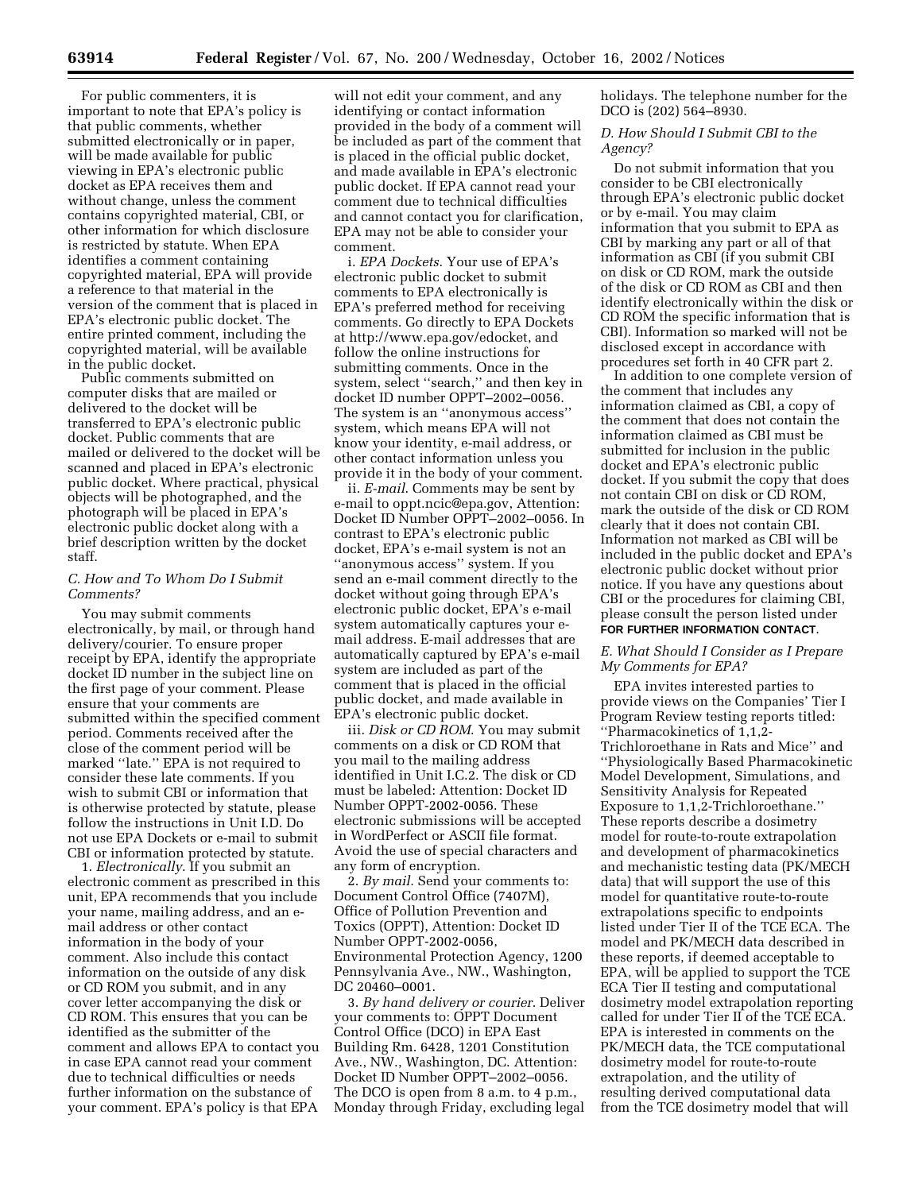For public commenters, it is important to note that EPA's policy is that public comments, whether submitted electronically or in paper, will be made available for public viewing in EPA's electronic public docket as EPA receives them and without change, unless the comment contains copyrighted material, CBI, or other information for which disclosure is restricted by statute. When EPA identifies a comment containing copyrighted material, EPA will provide a reference to that material in the version of the comment that is placed in EPA's electronic public docket. The entire printed comment, including the copyrighted material, will be available in the public docket.

Public comments submitted on computer disks that are mailed or delivered to the docket will be transferred to EPA's electronic public docket. Public comments that are mailed or delivered to the docket will be scanned and placed in EPA's electronic public docket. Where practical, physical objects will be photographed, and the photograph will be placed in EPA's electronic public docket along with a brief description written by the docket staff.

# *C. How and To Whom Do I Submit Comments?*

You may submit comments electronically, by mail, or through hand delivery/courier. To ensure proper receipt by EPA, identify the appropriate docket ID number in the subject line on the first page of your comment. Please ensure that your comments are submitted within the specified comment period. Comments received after the close of the comment period will be marked ''late.'' EPA is not required to consider these late comments. If you wish to submit CBI or information that is otherwise protected by statute, please follow the instructions in Unit I.D. Do not use EPA Dockets or e-mail to submit CBI or information protected by statute.

1. *Electronically*. If you submit an electronic comment as prescribed in this unit, EPA recommends that you include your name, mailing address, and an email address or other contact information in the body of your comment. Also include this contact information on the outside of any disk or CD ROM you submit, and in any cover letter accompanying the disk or CD ROM. This ensures that you can be identified as the submitter of the comment and allows EPA to contact you in case EPA cannot read your comment due to technical difficulties or needs further information on the substance of your comment. EPA's policy is that EPA

will not edit your comment, and any identifying or contact information provided in the body of a comment will be included as part of the comment that is placed in the official public docket, and made available in EPA's electronic public docket. If EPA cannot read your comment due to technical difficulties and cannot contact you for clarification, EPA may not be able to consider your comment.

i. *EPA Dockets*. Your use of EPA's electronic public docket to submit comments to EPA electronically is EPA's preferred method for receiving comments. Go directly to EPA Dockets at http://www.epa.gov/edocket, and follow the online instructions for submitting comments. Once in the system, select ''search,'' and then key in docket ID number OPPT–2002–0056. The system is an ''anonymous access'' system, which means EPA will not know your identity, e-mail address, or other contact information unless you provide it in the body of your comment.

ii. *E-mail*. Comments may be sent by e-mail to oppt.ncic@epa.gov, Attention: Docket ID Number OPPT–2002–0056. In contrast to EPA's electronic public docket, EPA's e-mail system is not an ''anonymous access'' system. If you send an e-mail comment directly to the docket without going through EPA's electronic public docket, EPA's e-mail system automatically captures your email address. E-mail addresses that are automatically captured by EPA's e-mail system are included as part of the comment that is placed in the official public docket, and made available in EPA's electronic public docket.

iii. *Disk or CD ROM*. You may submit comments on a disk or CD ROM that you mail to the mailing address identified in Unit I.C.2. The disk or CD must be labeled: Attention: Docket ID Number OPPT-2002-0056. These electronic submissions will be accepted in WordPerfect or ASCII file format. Avoid the use of special characters and any form of encryption.

2. *By mail*. Send your comments to: Document Control Office (7407M), Office of Pollution Prevention and Toxics (OPPT), Attention: Docket ID Number OPPT-2002-0056, Environmental Protection Agency, 1200 Pennsylvania Ave., NW., Washington, DC 20460–0001.

3. *By hand delivery or courier*. Deliver your comments to: OPPT Document Control Office (DCO) in EPA East Building Rm. 6428, 1201 Constitution Ave., NW., Washington, DC. Attention: Docket ID Number OPPT–2002–0056. The DCO is open from 8 a.m. to 4 p.m., Monday through Friday, excluding legal holidays. The telephone number for the DCO is (202) 564–8930.

*D. How Should I Submit CBI to the Agency?* 

Do not submit information that you consider to be CBI electronically through EPA's electronic public docket or by e-mail. You may claim information that you submit to EPA as CBI by marking any part or all of that information as CBI (if you submit CBI on disk or CD ROM, mark the outside of the disk or CD ROM as CBI and then identify electronically within the disk or CD ROM the specific information that is CBI). Information so marked will not be disclosed except in accordance with procedures set forth in 40 CFR part 2.

In addition to one complete version of the comment that includes any information claimed as CBI, a copy of the comment that does not contain the information claimed as CBI must be submitted for inclusion in the public docket and EPA's electronic public docket. If you submit the copy that does not contain CBI on disk or CD ROM, mark the outside of the disk or CD ROM clearly that it does not contain CBI. Information not marked as CBI will be included in the public docket and EPA's electronic public docket without prior notice. If you have any questions about CBI or the procedures for claiming CBI, please consult the person listed under **FOR FURTHER INFORMATION CONTACT**.

# *E. What Should I Consider as I Prepare My Comments for EPA?*

EPA invites interested parties to provide views on the Companies' Tier I Program Review testing reports titled: ''Pharmacokinetics of 1,1,2- Trichloroethane in Rats and Mice'' and ''Physiologically Based Pharmacokinetic Model Development, Simulations, and Sensitivity Analysis for Repeated Exposure to 1,1,2-Trichloroethane.'' These reports describe a dosimetry model for route-to-route extrapolation and development of pharmacokinetics and mechanistic testing data (PK/MECH data) that will support the use of this model for quantitative route-to-route extrapolations specific to endpoints listed under Tier II of the TCE ECA. The model and PK/MECH data described in these reports, if deemed acceptable to EPA, will be applied to support the TCE ECA Tier II testing and computational dosimetry model extrapolation reporting called for under Tier II of the TCE ECA. EPA is interested in comments on the PK/MECH data, the TCE computational dosimetry model for route-to-route extrapolation, and the utility of resulting derived computational data from the TCE dosimetry model that will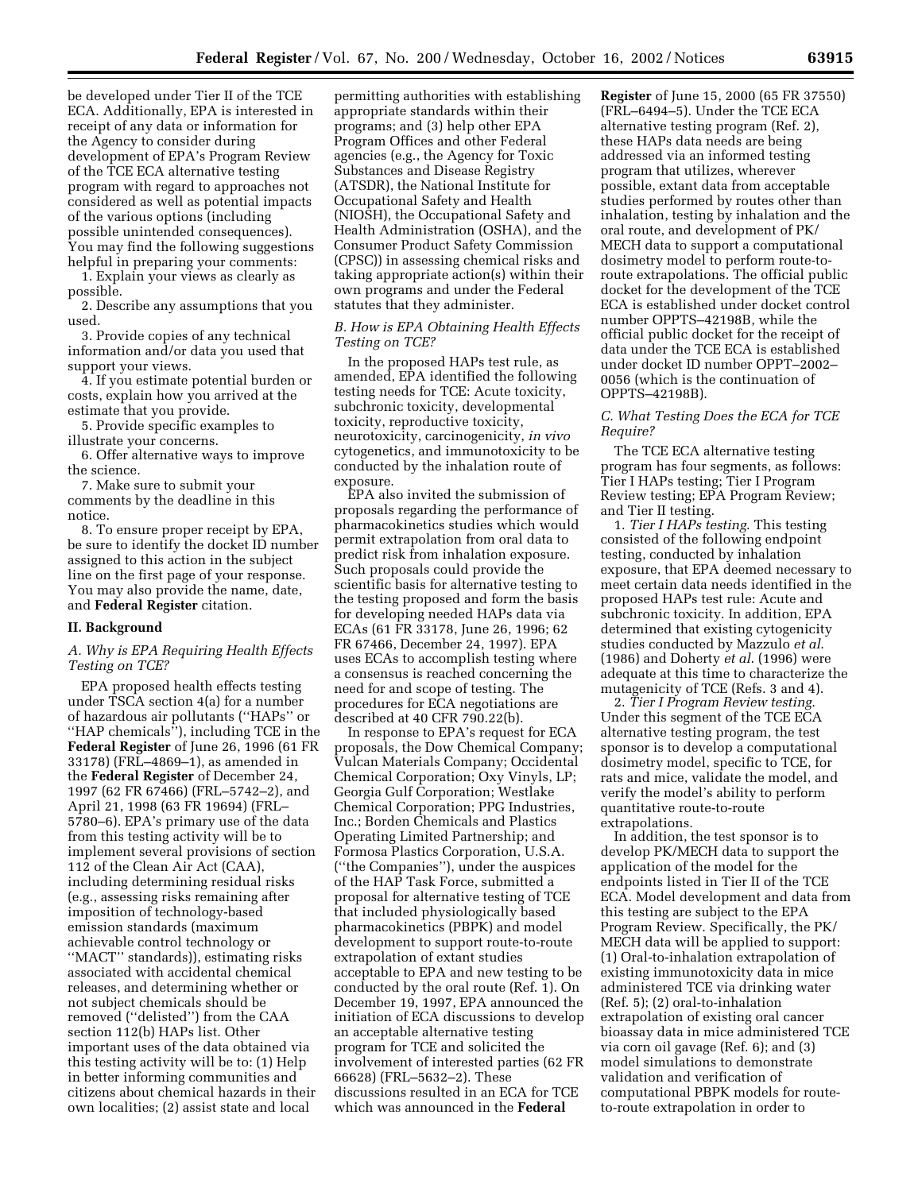be developed under Tier II of the TCE ECA. Additionally, EPA is interested in receipt of any data or information for the Agency to consider during development of EPA's Program Review of the TCE ECA alternative testing program with regard to approaches not considered as well as potential impacts of the various options (including possible unintended consequences). You may find the following suggestions helpful in preparing your comments:

1. Explain your views as clearly as possible.

2. Describe any assumptions that you used.

3. Provide copies of any technical information and/or data you used that support your views.

4. If you estimate potential burden or costs, explain how you arrived at the estimate that you provide.

5. Provide specific examples to illustrate your concerns.

6. Offer alternative ways to improve the science.

7. Make sure to submit your comments by the deadline in this notice.

8. To ensure proper receipt by EPA, be sure to identify the docket ID number assigned to this action in the subject line on the first page of your response. You may also provide the name, date, and **Federal Register** citation.

# **II. Background**

## *A. Why is EPA Requiring Health Effects Testing on TCE?*

EPA proposed health effects testing under TSCA section 4(a) for a number of hazardous air pollutants (''HAPs'' or ''HAP chemicals''), including TCE in the **Federal Register** of June 26, 1996 (61 FR 33178) (FRL–4869–1), as amended in the **Federal Register** of December 24, 1997 (62 FR 67466) (FRL–5742–2), and April 21, 1998 (63 FR 19694) (FRL– 5780–6). EPA's primary use of the data from this testing activity will be to implement several provisions of section 112 of the Clean Air Act (CAA), including determining residual risks (e.g., assessing risks remaining after imposition of technology-based emission standards (maximum achievable control technology or ''MACT'' standards)), estimating risks associated with accidental chemical releases, and determining whether or not subject chemicals should be removed (''delisted'') from the CAA section 112(b) HAPs list. Other important uses of the data obtained via this testing activity will be to: (1) Help in better informing communities and citizens about chemical hazards in their own localities; (2) assist state and local

permitting authorities with establishing appropriate standards within their programs; and (3) help other EPA Program Offices and other Federal agencies (e.g., the Agency for Toxic Substances and Disease Registry (ATSDR), the National Institute for Occupational Safety and Health (NIOSH), the Occupational Safety and Health Administration (OSHA), and the Consumer Product Safety Commission (CPSC)) in assessing chemical risks and taking appropriate action(s) within their own programs and under the Federal statutes that they administer.

# *B. How is EPA Obtaining Health Effects Testing on TCE?*

In the proposed HAPs test rule, as amended, EPA identified the following testing needs for TCE: Acute toxicity, subchronic toxicity, developmental toxicity, reproductive toxicity, neurotoxicity, carcinogenicity, *in vivo* cytogenetics, and immunotoxicity to be conducted by the inhalation route of exposure.

EPA also invited the submission of proposals regarding the performance of pharmacokinetics studies which would permit extrapolation from oral data to predict risk from inhalation exposure. Such proposals could provide the scientific basis for alternative testing to the testing proposed and form the basis for developing needed HAPs data via ECAs (61 FR 33178, June 26, 1996; 62 FR 67466, December 24, 1997). EPA uses ECAs to accomplish testing where a consensus is reached concerning the need for and scope of testing. The procedures for ECA negotiations are described at 40 CFR 790.22(b).

In response to EPA's request for ECA proposals, the Dow Chemical Company; Vulcan Materials Company; Occidental Chemical Corporation; Oxy Vinyls, LP; Georgia Gulf Corporation; Westlake Chemical Corporation; PPG Industries, Inc.; Borden Chemicals and Plastics Operating Limited Partnership; and Formosa Plastics Corporation, U.S.A. (''the Companies''), under the auspices of the HAP Task Force, submitted a proposal for alternative testing of TCE that included physiologically based pharmacokinetics (PBPK) and model development to support route-to-route extrapolation of extant studies acceptable to EPA and new testing to be conducted by the oral route (Ref. 1). On December 19, 1997, EPA announced the initiation of ECA discussions to develop an acceptable alternative testing program for TCE and solicited the involvement of interested parties (62 FR 66628) (FRL–5632–2). These discussions resulted in an ECA for TCE which was announced in the **Federal** 

**Register** of June 15, 2000 (65 FR 37550) (FRL–6494–5). Under the TCE ECA alternative testing program (Ref. 2), these HAPs data needs are being addressed via an informed testing program that utilizes, wherever possible, extant data from acceptable studies performed by routes other than inhalation, testing by inhalation and the oral route, and development of PK/ MECH data to support a computational dosimetry model to perform route-toroute extrapolations. The official public docket for the development of the TCE ECA is established under docket control number OPPTS–42198B, while the official public docket for the receipt of data under the TCE ECA is established under docket ID number OPPT–2002– 0056 (which is the continuation of OPPTS–42198B).

# *C. What Testing Does the ECA for TCE Require?*

The TCE ECA alternative testing program has four segments, as follows: Tier I HAPs testing; Tier I Program Review testing; EPA Program Review; and Tier II testing.

1. *Tier I HAPs testing*. This testing consisted of the following endpoint testing, conducted by inhalation exposure, that EPA deemed necessary to meet certain data needs identified in the proposed HAPs test rule: Acute and subchronic toxicity. In addition, EPA determined that existing cytogenicity studies conducted by Mazzulo *et al*. (1986) and Doherty *et al*. (1996) were adequate at this time to characterize the mutagenicity of TCE (Refs. 3 and 4).

2. *Tier I Program Review testing*. Under this segment of the TCE ECA alternative testing program, the test sponsor is to develop a computational dosimetry model, specific to TCE, for rats and mice, validate the model, and verify the model's ability to perform quantitative route-to-route extrapolations.

In addition, the test sponsor is to develop PK/MECH data to support the application of the model for the endpoints listed in Tier II of the TCE ECA. Model development and data from this testing are subject to the EPA Program Review. Specifically, the PK/ MECH data will be applied to support: (1) Oral-to-inhalation extrapolation of existing immunotoxicity data in mice administered TCE via drinking water (Ref. 5); (2) oral-to-inhalation extrapolation of existing oral cancer bioassay data in mice administered TCE via corn oil gavage (Ref. 6); and (3) model simulations to demonstrate validation and verification of computational PBPK models for routeto-route extrapolation in order to